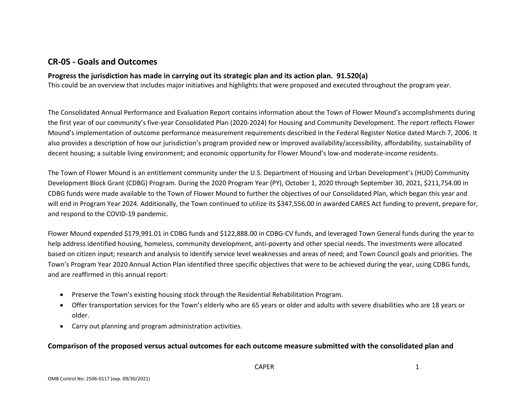## **CR-05 - Goals and Outcomes**

### **Progress the jurisdiction has made in carrying out its strategic plan and its action plan. 91.520(a)**

This could be an overview that includes major initiatives and highlights that were proposed and executed throughout the program year.

The Consolidated Annual Performance and Evaluation Report contains information about the Town of Flower Mound's accomplishments during the first year of our community's five-year Consolidated Plan (2020-2024) for Housing and Community Development. The report reflects Flower Mound's implementation of outcome performance measurement requirements described in the Federal Register Notice dated March 7, 2006. It also provides a description of how our jurisdiction's program provided new or improved availability/accessibility, affordability, sustainability of decent housing; a suitable living environment; and economic opportunity for Flower Mound's low-and moderate-income residents.

The Town of Flower Mound is an entitlement community under the U.S. Department of Housing and Urban Development's (HUD) Community Development Block Grant (CDBG) Program. During the 2020 Program Year (PY), October 1, 2020 through September 30, 2021, \$211,754.00 in CDBG funds were made available to the Town of Flower Mound to further the objectives of our Consolidated Plan, which began this year and will end in Program Year 2024. Additionally, the Town continued to utilize its \$347,556.00 in awarded CARES Act funding to prevent, prepare for, and respond to the COVID-19 pandemic.

Flower Mound expended \$179,991.01 in CDBG funds and \$122,888.00 in CDBG-CV funds, and leveraged Town General funds during the year to help address identified housing, homeless, community development, anti-poverty and other special needs. The investments were allocated based on citizen input; research and analysis to identify service level weaknesses and areas of need; and Town Council goals and priorities. The Town's Program Year 2020 Annual Action Plan identified three specific objectives that were to be achieved during the year, using CDBG funds, and are reaffirmed in this annual report:

- Preserve the Town's existing housing stock through the Residential Rehabilitation Program.
- Offer transportation services for the Town's elderly who are 65 years or older and adults with severe disabilities who are 18 years or older.
- Carry out planning and program administration activities.

**Comparison of the proposed versus actual outcomes for each outcome measure submitted with the consolidated plan and**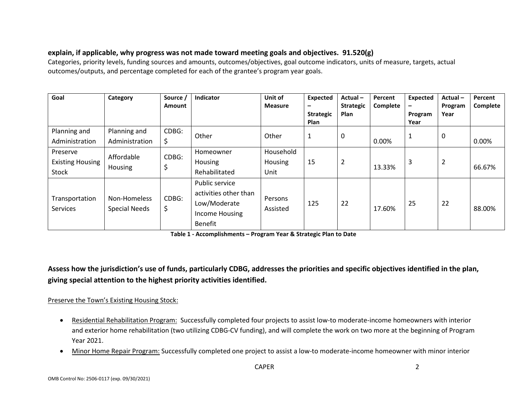## **explain, if applicable, why progress was not made toward meeting goals and objectives. 91.520(g)**

Categories, priority levels, funding sources and amounts, outcomes/objectives, goal outcome indicators, units of measure, targets, actual outcomes/outputs, and percentage completed for each of the grantee's program year goals.

| Goal                                         | Category                             | Source /<br>Amount | Indicator                                                                                   | Unit of<br><b>Measure</b>    | Expected<br>$\qquad \qquad \blacksquare$<br><b>Strategic</b><br><b>Plan</b> | Actual-<br><b>Strategic</b><br>Plan | Percent<br>Complete | Expected<br>-<br>Program<br>Year | Actual-<br>Program<br>Year | Percent<br>Complete |
|----------------------------------------------|--------------------------------------|--------------------|---------------------------------------------------------------------------------------------|------------------------------|-----------------------------------------------------------------------------|-------------------------------------|---------------------|----------------------------------|----------------------------|---------------------|
| Planning and<br>Administration               | Planning and<br>Administration       | CDBG:<br>\$        | Other                                                                                       | Other                        | $\mathbf{1}$                                                                | $\mathbf 0$                         | 0.00%               | 1                                | $\mathbf 0$                | 0.00%               |
| Preserve<br><b>Existing Housing</b><br>Stock | Affordable<br>Housing                | CDBG:              | Homeowner<br>Housing<br>Rehabilitated                                                       | Household<br>Housing<br>Unit | 15                                                                          | $\overline{2}$                      | 13.33%              | 3                                | $\overline{2}$             | 66.67%              |
| Transportation<br>Services                   | Non-Homeless<br><b>Special Needs</b> | CDBG:<br>\$        | Public service<br>activities other than<br>Low/Moderate<br>Income Housing<br><b>Benefit</b> | Persons<br>Assisted          | 125                                                                         | 22                                  | 17.60%              | 25                               | 22                         | 88.00%              |

**Table 1 - Accomplishments – Program Year & Strategic Plan to Date**

**Assess how the jurisdiction's use of funds, particularly CDBG, addresses the priorities and specific objectives identified in the plan, giving special attention to the highest priority activities identified.**

### Preserve the Town's Existing Housing Stock:

- Residential Rehabilitation Program: Successfully completed four projects to assist low-to moderate-income homeowners with interior and exterior home rehabilitation (two utilizing CDBG-CV funding), and will complete the work on two more at the beginning of Program Year 2021.
- Minor Home Repair Program: Successfully completed one project to assist a low-to moderate-income homeowner with minor interior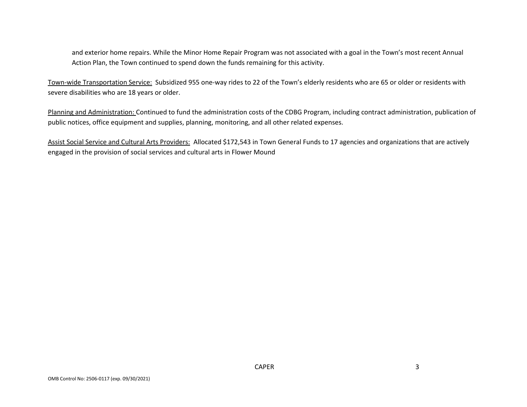and exterior home repairs. While the Minor Home Repair Program was not associated with a goal in the Town's most recent Annual Action Plan, the Town continued to spend down the funds remaining for this activity.

Town-wide Transportation Service: Subsidized 955 one-way rides to 22 of the Town's elderly residents who are 65 or older or residents with severe disabilities who are 18 years or older.

Planning and Administration: Continued to fund the administration costs of the CDBG Program, including contract administration, publication of public notices, office equipment and supplies, planning, monitoring, and all other related expenses.

Assist Social Service and Cultural Arts Providers: Allocated \$172,543 in Town General Funds to 17 agencies and organizations that are actively engaged in the provision of social services and cultural arts in Flower Mound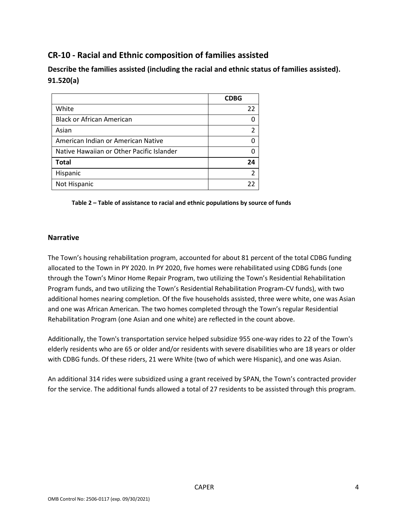# **CR-10 - Racial and Ethnic composition of families assisted**

**Describe the families assisted (including the racial and ethnic status of families assisted). 91.520(a)** 

|                                           | <b>CDBG</b> |
|-------------------------------------------|-------------|
| White                                     | 22          |
| <b>Black or African American</b>          |             |
| Asian                                     |             |
| American Indian or American Native        |             |
| Native Hawaiian or Other Pacific Islander |             |
| <b>Total</b>                              | 24          |
| Hispanic                                  | 2           |
| Not Hispanic                              | 22          |

#### **Table 2 – Table of assistance to racial and ethnic populations by source of funds**

#### **Narrative**

The Town's housing rehabilitation program, accounted for about 81 percent of the total CDBG funding allocated to the Town in PY 2020. In PY 2020, five homes were rehabilitated using CDBG funds (one through the Town's Minor Home Repair Program, two utilizing the Town's Residential Rehabilitation Program funds, and two utilizing the Town's Residential Rehabilitation Program-CV funds), with two additional homes nearing completion. Of the five households assisted, three were white, one was Asian and one was African American. The two homes completed through the Town's regular Residential Rehabilitation Program (one Asian and one white) are reflected in the count above.

Additionally, the Town's transportation service helped subsidize 955 one-way rides to 22 of the Town's elderly residents who are 65 or older and/or residents with severe disabilities who are 18 years or older with CDBG funds. Of these riders, 21 were White (two of which were Hispanic), and one was Asian.

An additional 314 rides were subsidized using a grant received by SPAN, the Town's contracted provider for the service. The additional funds allowed a total of 27 residents to be assisted through this program.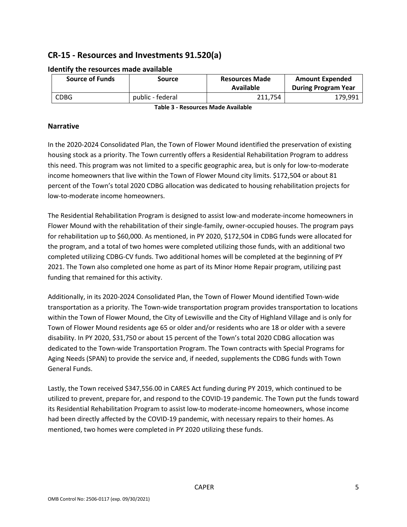# **CR-15 - Resources and Investments 91.520(a)**

| <b>Source of Funds</b> | Source           | <b>Resources Made</b><br>Available | <b>Amount Expended</b><br><b>During Program Year</b> |
|------------------------|------------------|------------------------------------|------------------------------------------------------|
| <b>CDBG</b>            | public - federal | 211.754                            | 179,991                                              |

#### **Identify the resources made available**

**Table 3 - Resources Made Available**

#### **Narrative**

In the 2020-2024 Consolidated Plan, the Town of Flower Mound identified the preservation of existing housing stock as a priority. The Town currently offers a Residential Rehabilitation Program to address this need. This program was not limited to a specific geographic area, but is only for low-to-moderate income homeowners that live within the Town of Flower Mound city limits. \$172,504 or about 81 percent of the Town's total 2020 CDBG allocation was dedicated to housing rehabilitation projects for low-to-moderate income homeowners.

The Residential Rehabilitation Program is designed to assist low-and moderate-income homeowners in Flower Mound with the rehabilitation of their single-family, owner-occupied houses. The program pays for rehabilitation up to \$60,000. As mentioned, in PY 2020, \$172,504 in CDBG funds were allocated for the program, and a total of two homes were completed utilizing those funds, with an additional two completed utilizing CDBG-CV funds. Two additional homes will be completed at the beginning of PY 2021. The Town also completed one home as part of its Minor Home Repair program, utilizing past funding that remained for this activity.

Additionally, in its 2020-2024 Consolidated Plan, the Town of Flower Mound identified Town-wide transportation as a priority. The Town-wide transportation program provides transportation to locations within the Town of Flower Mound, the City of Lewisville and the City of Highland Village and is only for Town of Flower Mound residents age 65 or older and/or residents who are 18 or older with a severe disability. In PY 2020, \$31,750 or about 15 percent of the Town's total 2020 CDBG allocation was dedicated to the Town-wide Transportation Program. The Town contracts with Special Programs for Aging Needs (SPAN) to provide the service and, if needed, supplements the CDBG funds with Town General Funds.

Lastly, the Town received \$347,556.00 in CARES Act funding during PY 2019, which continued to be utilized to prevent, prepare for, and respond to the COVID-19 pandemic. The Town put the funds toward its Residential Rehabilitation Program to assist low-to moderate-income homeowners, whose income had been directly affected by the COVID-19 pandemic, with necessary repairs to their homes. As mentioned, two homes were completed in PY 2020 utilizing these funds.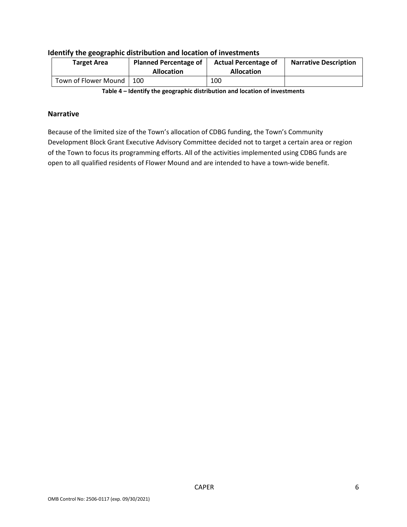| <b>Target Area</b>   | <b>Planned Percentage of</b><br><b>Allocation</b> | <b>Actual Percentage of</b><br><b>Allocation</b> | <b>Narrative Description</b> |  |
|----------------------|---------------------------------------------------|--------------------------------------------------|------------------------------|--|
| Town of Flower Mound | 100                                               | 100                                              |                              |  |
|                      |                                                   |                                                  |                              |  |

#### **Identify the geographic distribution and location of investments**

**Table 4 – Identify the geographic distribution and location of investments**

#### **Narrative**

Because of the limited size of the Town's allocation of CDBG funding, the Town's Community Development Block Grant Executive Advisory Committee decided not to target a certain area or region of the Town to focus its programming efforts. All of the activities implemented using CDBG funds are open to all qualified residents of Flower Mound and are intended to have a town-wide benefit.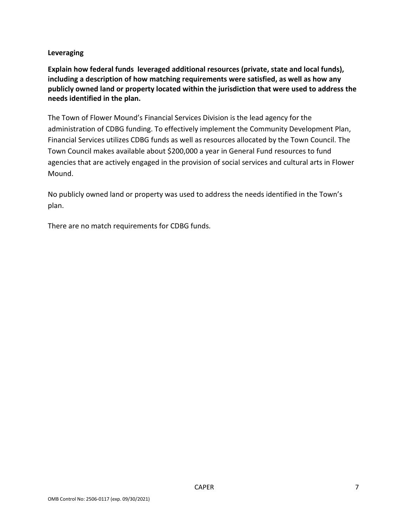### **Leveraging**

**Explain how federal funds leveraged additional resources (private, state and local funds), including a description of how matching requirements were satisfied, as well as how any publicly owned land or property located within the jurisdiction that were used to address the needs identified in the plan.**

The Town of Flower Mound's Financial Services Division is the lead agency for the administration of CDBG funding. To effectively implement the Community Development Plan, Financial Services utilizes CDBG funds as well as resources allocated by the Town Council. The Town Council makes available about \$200,000 a year in General Fund resources to fund agencies that are actively engaged in the provision of social services and cultural arts in Flower Mound.

No publicly owned land or property was used to address the needs identified in the Town's plan.

There are no match requirements for CDBG funds.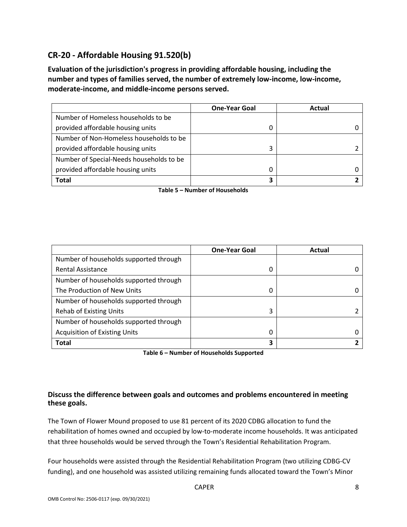# **CR-20 - Affordable Housing 91.520(b)**

**Evaluation of the jurisdiction's progress in providing affordable housing, including the number and types of families served, the number of extremely low-income, low-income, moderate-income, and middle-income persons served.**

|                                          | <b>One-Year Goal</b> | Actual |
|------------------------------------------|----------------------|--------|
| Number of Homeless households to be      |                      |        |
| provided affordable housing units        |                      |        |
| Number of Non-Homeless households to be  |                      |        |
| provided affordable housing units        | 3                    |        |
| Number of Special-Needs households to be |                      |        |
| provided affordable housing units        |                      |        |
| Total                                    |                      |        |

**Table 5 – Number of Households**

|                                        | <b>One-Year Goal</b> | Actual |
|----------------------------------------|----------------------|--------|
| Number of households supported through |                      |        |
| <b>Rental Assistance</b>               | 0                    |        |
| Number of households supported through |                      |        |
| The Production of New Units            | 0                    |        |
| Number of households supported through |                      |        |
| <b>Rehab of Existing Units</b>         | 3                    |        |
| Number of households supported through |                      |        |
| <b>Acquisition of Existing Units</b>   | 0                    |        |
| <b>Total</b>                           | 3                    |        |

**Table 6 – Number of Households Supported**

### **Discuss the difference between goals and outcomes and problems encountered in meeting these goals.**

The Town of Flower Mound proposed to use 81 percent of its 2020 CDBG allocation to fund the rehabilitation of homes owned and occupied by low-to-moderate income households. It was anticipated that three households would be served through the Town's Residential Rehabilitation Program.

Four households were assisted through the Residential Rehabilitation Program (two utilizing CDBG-CV funding), and one household was assisted utilizing remaining funds allocated toward the Town's Minor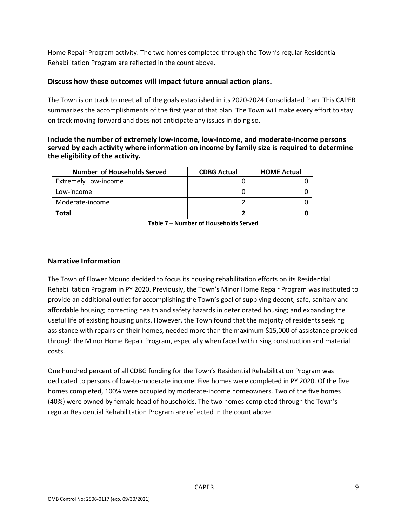Home Repair Program activity. The two homes completed through the Town's regular Residential Rehabilitation Program are reflected in the count above.

#### **Discuss how these outcomes will impact future annual action plans.**

The Town is on track to meet all of the goals established in its 2020-2024 Consolidated Plan. This CAPER summarizes the accomplishments of the first year of that plan. The Town will make every effort to stay on track moving forward and does not anticipate any issues in doing so.

#### **Include the number of extremely low-income, low-income, and moderate-income persons served by each activity where information on income by family size is required to determine the eligibility of the activity.**

| <b>Number of Households Served</b> | <b>CDBG Actual</b> | <b>HOME Actual</b> |
|------------------------------------|--------------------|--------------------|
| <b>Extremely Low-income</b>        |                    |                    |
| Low-income                         |                    |                    |
| Moderate-income                    |                    |                    |
| Total                              |                    |                    |

**Table 7 – Number of Households Served**

#### **Narrative Information**

The Town of Flower Mound decided to focus its housing rehabilitation efforts on its Residential Rehabilitation Program in PY 2020. Previously, the Town's Minor Home Repair Program was instituted to provide an additional outlet for accomplishing the Town's goal of supplying decent, safe, sanitary and affordable housing; correcting health and safety hazards in deteriorated housing; and expanding the useful life of existing housing units. However, the Town found that the majority of residents seeking assistance with repairs on their homes, needed more than the maximum \$15,000 of assistance provided through the Minor Home Repair Program, especially when faced with rising construction and material costs.

One hundred percent of all CDBG funding for the Town's Residential Rehabilitation Program was dedicated to persons of low-to-moderate income. Five homes were completed in PY 2020. Of the five homes completed, 100% were occupied by moderate-income homeowners. Two of the five homes (40%) were owned by female head of households. The two homes completed through the Town's regular Residential Rehabilitation Program are reflected in the count above.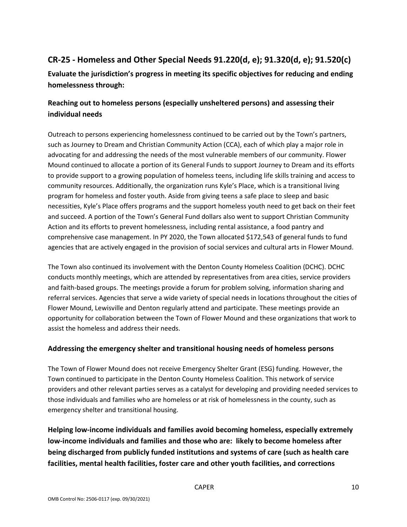# **CR-25 - Homeless and Other Special Needs 91.220(d, e); 91.320(d, e); 91.520(c)**

**Evaluate the jurisdiction's progress in meeting its specific objectives for reducing and ending homelessness through:**

## **Reaching out to homeless persons (especially unsheltered persons) and assessing their individual needs**

Outreach to persons experiencing homelessness continued to be carried out by the Town's partners, such as Journey to Dream and Christian Community Action (CCA), each of which play a major role in advocating for and addressing the needs of the most vulnerable members of our community. Flower Mound continued to allocate a portion of its General Funds to support Journey to Dream and its efforts to provide support to a growing population of homeless teens, including life skills training and access to community resources. Additionally, the organization runs Kyle's Place, which is a transitional living program for homeless and foster youth. Aside from giving teens a safe place to sleep and basic necessities, Kyle's Place offers programs and the support homeless youth need to get back on their feet and succeed. A portion of the Town's General Fund dollars also went to support Christian Community Action and its efforts to prevent homelessness, including rental assistance, a food pantry and comprehensive case management. In PY 2020, the Town allocated \$172,543 of general funds to fund agencies that are actively engaged in the provision of social services and cultural arts in Flower Mound.

The Town also continued its involvement with the Denton County Homeless Coalition (DCHC). DCHC conducts monthly meetings, which are attended by representatives from area cities, service providers and faith-based groups. The meetings provide a forum for problem solving, information sharing and referral services. Agencies that serve a wide variety of special needs in locations throughout the cities of Flower Mound, Lewisville and Denton regularly attend and participate. These meetings provide an opportunity for collaboration between the Town of Flower Mound and these organizations that work to assist the homeless and address their needs.

## **Addressing the emergency shelter and transitional housing needs of homeless persons**

The Town of Flower Mound does not receive Emergency Shelter Grant (ESG) funding. However, the Town continued to participate in the Denton County Homeless Coalition. This network of service providers and other relevant parties serves as a catalyst for developing and providing needed services to those individuals and families who are homeless or at risk of homelessness in the county, such as emergency shelter and transitional housing.

**Helping low-income individuals and families avoid becoming homeless, especially extremely low-income individuals and families and those who are: likely to become homeless after being discharged from publicly funded institutions and systems of care (such as health care facilities, mental health facilities, foster care and other youth facilities, and corrections**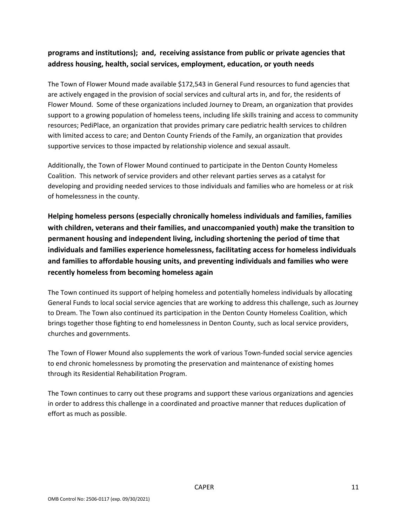## **programs and institutions); and, receiving assistance from public or private agencies that address housing, health, social services, employment, education, or youth needs**

The Town of Flower Mound made available \$172,543 in General Fund resources to fund agencies that are actively engaged in the provision of social services and cultural arts in, and for, the residents of Flower Mound. Some of these organizations included Journey to Dream, an organization that provides support to a growing population of homeless teens, including life skills training and access to community resources; PediPlace, an organization that provides primary care pediatric health services to children with limited access to care; and Denton County Friends of the Family, an organization that provides supportive services to those impacted by relationship violence and sexual assault.

Additionally, the Town of Flower Mound continued to participate in the Denton County Homeless Coalition. This network of service providers and other relevant parties serves as a catalyst for developing and providing needed services to those individuals and families who are homeless or at risk of homelessness in the county.

**Helping homeless persons (especially chronically homeless individuals and families, families with children, veterans and their families, and unaccompanied youth) make the transition to permanent housing and independent living, including shortening the period of time that individuals and families experience homelessness, facilitating access for homeless individuals and families to affordable housing units, and preventing individuals and families who were recently homeless from becoming homeless again**

The Town continued its support of helping homeless and potentially homeless individuals by allocating General Funds to local social service agencies that are working to address this challenge, such as Journey to Dream. The Town also continued its participation in the Denton County Homeless Coalition, which brings together those fighting to end homelessness in Denton County, such as local service providers, churches and governments.

The Town of Flower Mound also supplements the work of various Town-funded social service agencies to end chronic homelessness by promoting the preservation and maintenance of existing homes through its Residential Rehabilitation Program.

The Town continues to carry out these programs and support these various organizations and agencies in order to address this challenge in a coordinated and proactive manner that reduces duplication of effort as much as possible.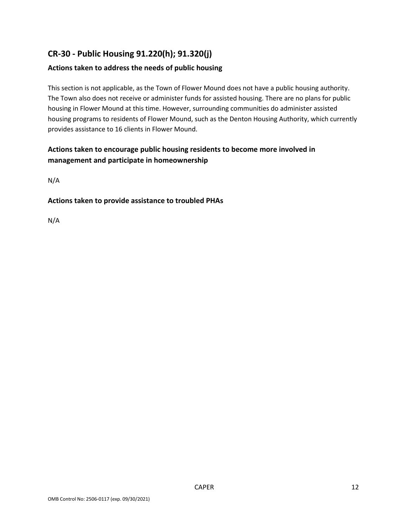# **CR-30 - Public Housing 91.220(h); 91.320(j)**

## **Actions taken to address the needs of public housing**

This section is not applicable, as the Town of Flower Mound does not have a public housing authority. The Town also does not receive or administer funds for assisted housing. There are no plans for public housing in Flower Mound at this time. However, surrounding communities do administer assisted housing programs to residents of Flower Mound, such as the Denton Housing Authority, which currently provides assistance to 16 clients in Flower Mound.

## **Actions taken to encourage public housing residents to become more involved in management and participate in homeownership**

N/A

#### **Actions taken to provide assistance to troubled PHAs**

N/A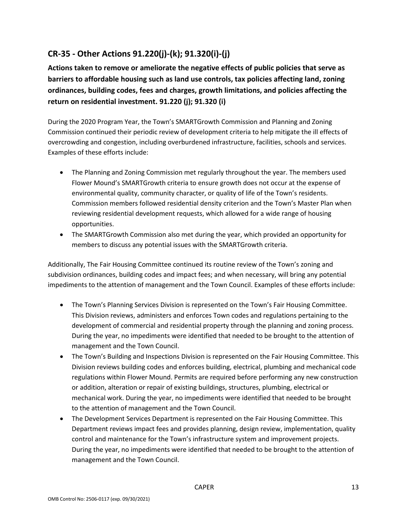# **CR-35 - Other Actions 91.220(j)-(k); 91.320(i)-(j)**

**Actions taken to remove or ameliorate the negative effects of public policies that serve as barriers to affordable housing such as land use controls, tax policies affecting land, zoning ordinances, building codes, fees and charges, growth limitations, and policies affecting the return on residential investment. 91.220 (j); 91.320 (i)**

During the 2020 Program Year, the Town's SMARTGrowth Commission and Planning and Zoning Commission continued their periodic review of development criteria to help mitigate the ill effects of overcrowding and congestion, including overburdened infrastructure, facilities, schools and services. Examples of these efforts include:

- The Planning and Zoning Commission met regularly throughout the year. The members used Flower Mound's SMARTGrowth criteria to ensure growth does not occur at the expense of environmental quality, community character, or quality of life of the Town's residents. Commission members followed residential density criterion and the Town's Master Plan when reviewing residential development requests, which allowed for a wide range of housing opportunities.
- The SMARTGrowth Commission also met during the year, which provided an opportunity for members to discuss any potential issues with the SMARTGrowth criteria.

Additionally, The Fair Housing Committee continued its routine review of the Town's zoning and subdivision ordinances, building codes and impact fees; and when necessary, will bring any potential impediments to the attention of management and the Town Council. Examples of these efforts include:

- The Town's Planning Services Division is represented on the Town's Fair Housing Committee. This Division reviews, administers and enforces Town codes and regulations pertaining to the development of commercial and residential property through the planning and zoning process. During the year, no impediments were identified that needed to be brought to the attention of management and the Town Council.
- The Town's Building and Inspections Division is represented on the Fair Housing Committee. This Division reviews building codes and enforces building, electrical, plumbing and mechanical code regulations within Flower Mound. Permits are required before performing any new construction or addition, alteration or repair of existing buildings, structures, plumbing, electrical or mechanical work. During the year, no impediments were identified that needed to be brought to the attention of management and the Town Council.
- The Development Services Department is represented on the Fair Housing Committee. This Department reviews impact fees and provides planning, design review, implementation, quality control and maintenance for the Town's infrastructure system and improvement projects. During the year, no impediments were identified that needed to be brought to the attention of management and the Town Council.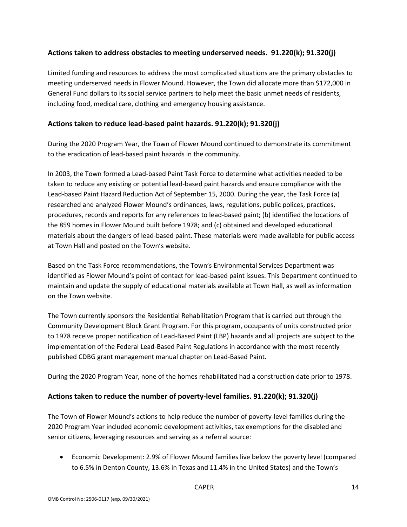### **Actions taken to address obstacles to meeting underserved needs. 91.220(k); 91.320(j)**

Limited funding and resources to address the most complicated situations are the primary obstacles to meeting underserved needs in Flower Mound. However, the Town did allocate more than \$172,000 in General Fund dollars to its social service partners to help meet the basic unmet needs of residents, including food, medical care, clothing and emergency housing assistance.

### **Actions taken to reduce lead-based paint hazards. 91.220(k); 91.320(j)**

During the 2020 Program Year, the Town of Flower Mound continued to demonstrate its commitment to the eradication of lead-based paint hazards in the community.

In 2003, the Town formed a Lead-based Paint Task Force to determine what activities needed to be taken to reduce any existing or potential lead-based paint hazards and ensure compliance with the Lead-based Paint Hazard Reduction Act of September 15, 2000. During the year, the Task Force (a) researched and analyzed Flower Mound's ordinances, laws, regulations, public polices, practices, procedures, records and reports for any references to lead-based paint; (b) identified the locations of the 859 homes in Flower Mound built before 1978; and (c) obtained and developed educational materials about the dangers of lead-based paint. These materials were made available for public access at Town Hall and posted on the Town's website.

Based on the Task Force recommendations, the Town's Environmental Services Department was identified as Flower Mound's point of contact for lead-based paint issues. This Department continued to maintain and update the supply of educational materials available at Town Hall, as well as information on the Town website.

The Town currently sponsors the Residential Rehabilitation Program that is carried out through the Community Development Block Grant Program. For this program, occupants of units constructed prior to 1978 receive proper notification of Lead-Based Paint (LBP) hazards and all projects are subject to the implementation of the Federal Lead-Based Paint Regulations in accordance with the most recently published CDBG grant management manual chapter on Lead-Based Paint.

During the 2020 Program Year, none of the homes rehabilitated had a construction date prior to 1978.

### **Actions taken to reduce the number of poverty-level families. 91.220(k); 91.320(j)**

The Town of Flower Mound's actions to help reduce the number of poverty-level families during the 2020 Program Year included economic development activities, tax exemptions for the disabled and senior citizens, leveraging resources and serving as a referral source:

• Economic Development: 2.9% of Flower Mound families live below the poverty level (compared to 6.5% in Denton County, 13.6% in Texas and 11.4% in the United States) and the Town's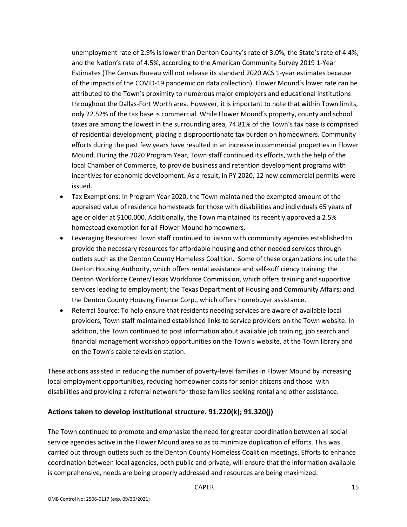unemployment rate of 2.9% is lower than Denton County's rate of 3.0%, the State's rate of 4.4%, and the Nation's rate of 4.5%, according to the American Community Survey 2019 1-Year Estimates (The Census Bureau will not release its standard 2020 ACS 1-year estimates because of the impacts of the COVID-19 pandemic on data collection). Flower Mound's lower rate can be attributed to the Town's proximity to numerous major employers and educational institutions throughout the Dallas-Fort Worth area. However, it is important to note that within Town limits, only 22.52% of the tax base is commercial. While Flower Mound's property, county and school taxes are among the lowest in the surrounding area, 74.81% of the Town's tax base is comprised of residential development, placing a disproportionate tax burden on homeowners. Community efforts during the past few years have resulted in an increase in commercial properties in Flower Mound. During the 2020 Program Year, Town staff continued its efforts, with the help of the local Chamber of Commerce, to provide business and retention development programs with incentives for economic development. As a result, in PY 2020, 12 new commercial permits were issued.

- Tax Exemptions: In Program Year 2020, the Town maintained the exempted amount of the appraised value of residence homesteads for those with disabilities and individuals 65 years of age or older at \$100,000. Additionally, the Town maintained its recently approved a 2.5% homestead exemption for all Flower Mound homeowners.
- Leveraging Resources: Town staff continued to liaison with community agencies established to provide the necessary resources for affordable housing and other needed services through outlets such as the Denton County Homeless Coalition. Some of these organizations include the Denton Housing Authority, which offers rental assistance and self-sufficiency training; the Denton Workforce Center/Texas Workforce Commission, which offers training and supportive services leading to employment; the Texas Department of Housing and Community Affairs; and the Denton County Housing Finance Corp., which offers homebuyer assistance.
- Referral Source: To help ensure that residents needing services are aware of available local providers, Town staff maintained established links to service providers on the Town website. In addition, the Town continued to post information about available job training, job search and financial management workshop opportunities on the Town's website, at the Town library and on the Town's cable television station.

These actions assisted in reducing the number of poverty-level families in Flower Mound by increasing local employment opportunities, reducing homeowner costs for senior citizens and those with disabilities and providing a referral network for those families seeking rental and other assistance.

### **Actions taken to develop institutional structure. 91.220(k); 91.320(j)**

The Town continued to promote and emphasize the need for greater coordination between all social service agencies active in the Flower Mound area so as to minimize duplication of efforts. This was carried out through outlets such as the Denton County Homeless Coalition meetings. Efforts to enhance coordination between local agencies, both public and private, will ensure that the information available is comprehensive, needs are being properly addressed and resources are being maximized.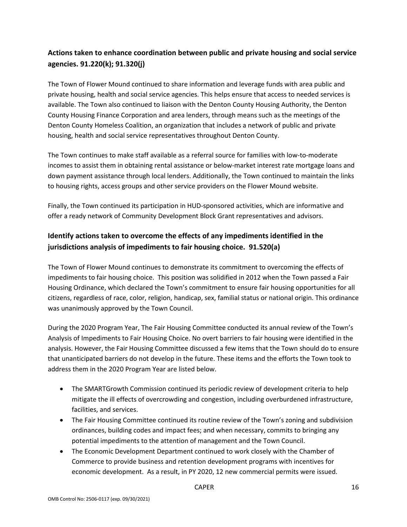# **Actions taken to enhance coordination between public and private housing and social service agencies. 91.220(k); 91.320(j)**

The Town of Flower Mound continued to share information and leverage funds with area public and private housing, health and social service agencies. This helps ensure that access to needed services is available. The Town also continued to liaison with the Denton County Housing Authority, the Denton County Housing Finance Corporation and area lenders, through means such as the meetings of the Denton County Homeless Coalition, an organization that includes a network of public and private housing, health and social service representatives throughout Denton County.

The Town continues to make staff available as a referral source for families with low-to-moderate incomes to assist them in obtaining rental assistance or below-market interest rate mortgage loans and down payment assistance through local lenders. Additionally, the Town continued to maintain the links to housing rights, access groups and other service providers on the Flower Mound website.

Finally, the Town continued its participation in HUD-sponsored activities, which are informative and offer a ready network of Community Development Block Grant representatives and advisors.

## **Identify actions taken to overcome the effects of any impediments identified in the jurisdictions analysis of impediments to fair housing choice. 91.520(a)**

The Town of Flower Mound continues to demonstrate its commitment to overcoming the effects of impediments to fair housing choice. This position was solidified in 2012 when the Town passed a Fair Housing Ordinance, which declared the Town's commitment to ensure fair housing opportunities for all citizens, regardless of race, color, religion, handicap, sex, familial status or national origin. This ordinance was unanimously approved by the Town Council.

During the 2020 Program Year, The Fair Housing Committee conducted its annual review of the Town's Analysis of Impediments to Fair Housing Choice. No overt barriers to fair housing were identified in the analysis. However, the Fair Housing Committee discussed a few items that the Town should do to ensure that unanticipated barriers do not develop in the future. These items and the efforts the Town took to address them in the 2020 Program Year are listed below.

- The SMARTGrowth Commission continued its periodic review of development criteria to help mitigate the ill effects of overcrowding and congestion, including overburdened infrastructure, facilities, and services.
- The Fair Housing Committee continued its routine review of the Town's zoning and subdivision ordinances, building codes and impact fees; and when necessary, commits to bringing any potential impediments to the attention of management and the Town Council.
- The Economic Development Department continued to work closely with the Chamber of Commerce to provide business and retention development programs with incentives for economic development. As a result, in PY 2020, 12 new commercial permits were issued.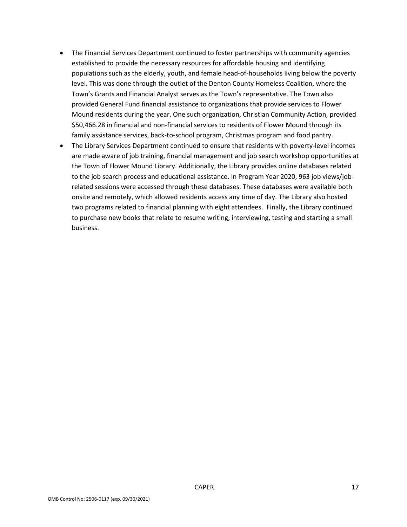- The Financial Services Department continued to foster partnerships with community agencies established to provide the necessary resources for affordable housing and identifying populations such as the elderly, youth, and female head-of-households living below the poverty level. This was done through the outlet of the Denton County Homeless Coalition, where the Town's Grants and Financial Analyst serves as the Town's representative. The Town also provided General Fund financial assistance to organizations that provide services to Flower Mound residents during the year. One such organization, Christian Community Action, provided \$50,466.28 in financial and non-financial services to residents of Flower Mound through its family assistance services, back-to-school program, Christmas program and food pantry.
- The Library Services Department continued to ensure that residents with poverty-level incomes are made aware of job training, financial management and job search workshop opportunities at the Town of Flower Mound Library. Additionally, the Library provides online databases related to the job search process and educational assistance. In Program Year 2020, 963 job views/jobrelated sessions were accessed through these databases. These databases were available both onsite and remotely, which allowed residents access any time of day. The Library also hosted two programs related to financial planning with eight attendees. Finally, the Library continued to purchase new books that relate to resume writing, interviewing, testing and starting a small business.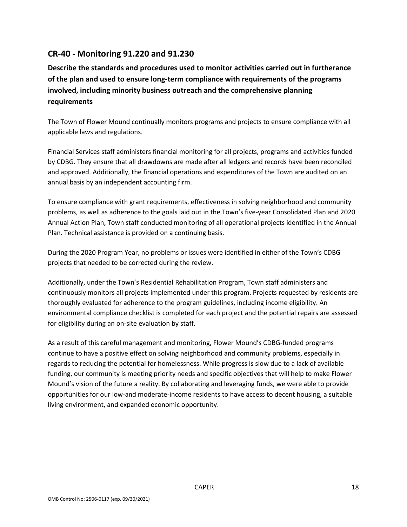## **CR-40 - Monitoring 91.220 and 91.230**

**Describe the standards and procedures used to monitor activities carried out in furtherance of the plan and used to ensure long-term compliance with requirements of the programs involved, including minority business outreach and the comprehensive planning requirements**

The Town of Flower Mound continually monitors programs and projects to ensure compliance with all applicable laws and regulations.

Financial Services staff administers financial monitoring for all projects, programs and activities funded by CDBG. They ensure that all drawdowns are made after all ledgers and records have been reconciled and approved. Additionally, the financial operations and expenditures of the Town are audited on an annual basis by an independent accounting firm.

To ensure compliance with grant requirements, effectiveness in solving neighborhood and community problems, as well as adherence to the goals laid out in the Town's five-year Consolidated Plan and 2020 Annual Action Plan, Town staff conducted monitoring of all operational projects identified in the Annual Plan. Technical assistance is provided on a continuing basis.

During the 2020 Program Year, no problems or issues were identified in either of the Town's CDBG projects that needed to be corrected during the review.

Additionally, under the Town's Residential Rehabilitation Program, Town staff administers and continuously monitors all projects implemented under this program. Projects requested by residents are thoroughly evaluated for adherence to the program guidelines, including income eligibility. An environmental compliance checklist is completed for each project and the potential repairs are assessed for eligibility during an on-site evaluation by staff.

As a result of this careful management and monitoring, Flower Mound's CDBG-funded programs continue to have a positive effect on solving neighborhood and community problems, especially in regards to reducing the potential for homelessness. While progress is slow due to a lack of available funding, our community is meeting priority needs and specific objectives that will help to make Flower Mound's vision of the future a reality. By collaborating and leveraging funds, we were able to provide opportunities for our low-and moderate-income residents to have access to decent housing, a suitable living environment, and expanded economic opportunity.